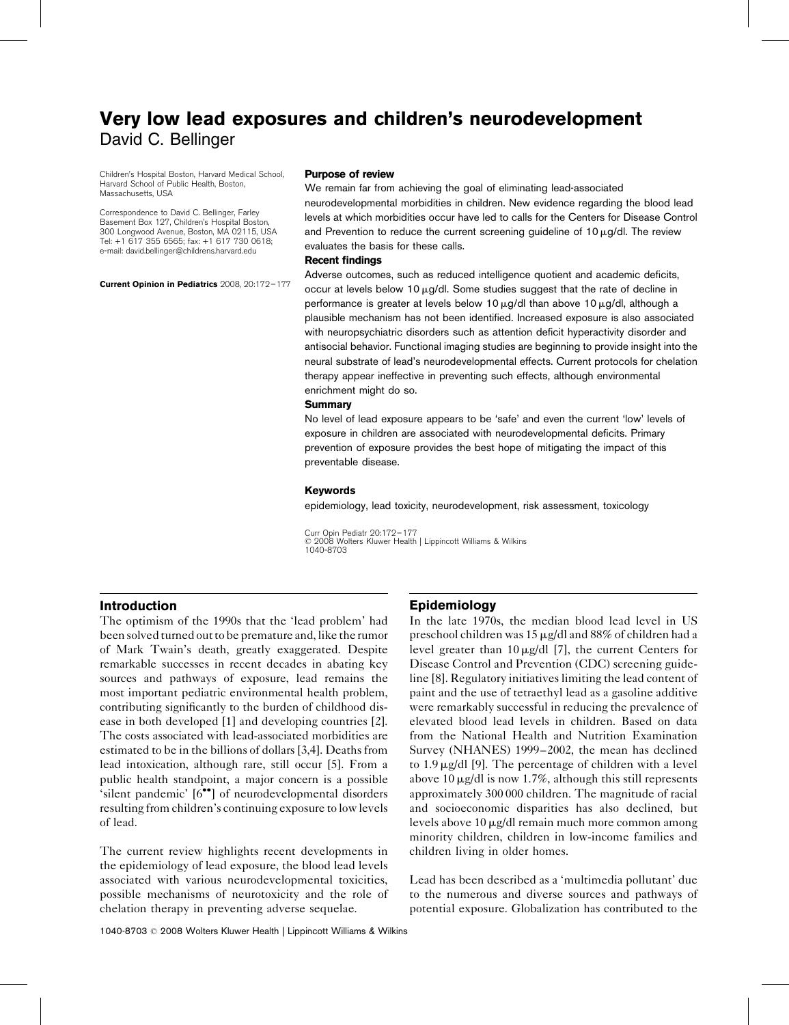# Very low lead exposures and children's neurodevelopment David C. Bellinger

Children's Hospital Boston, Harvard Medical School, Harvard School of Public Health, Boston, Massachusetts, USA

Correspondence to David C. Bellinger, Farley Basement Box 127, Children's Hospital Boston, 300 Longwood Avenue, Boston, MA 02115, USA Tel: +1 617 355 6565; fax: +1 617 730 0618; e-mail: [david.bellinger@childrens.harvard.edu](mailto:david.bellinger@childrens.harvard.edu)

Current Opinion in Pediatrics 2008, 20:172–177

#### Purpose of review

We remain far from achieving the goal of eliminating lead-associated neurodevelopmental morbidities in children. New evidence regarding the blood lead levels at which morbidities occur have led to calls for the Centers for Disease Control and Prevention to reduce the current screening guideline of 10  $\mu$ g/dl. The review evaluates the basis for these calls.

#### Recent findings

Adverse outcomes, such as reduced intelligence quotient and academic deficits, occur at levels below 10  $\mu$ g/dl. Some studies suggest that the rate of decline in performance is greater at levels below 10  $\mu$ g/dl than above 10  $\mu$ g/dl, although a plausible mechanism has not been identified. Increased exposure is also associated with neuropsychiatric disorders such as attention deficit hyperactivity disorder and antisocial behavior. Functional imaging studies are beginning to provide insight into the neural substrate of lead's neurodevelopmental effects. Current protocols for chelation therapy appear ineffective in preventing such effects, although environmental enrichment might do so.

#### **Summary**

No level of lead exposure appears to be 'safe' and even the current 'low' levels of exposure in children are associated with neurodevelopmental deficits. Primary prevention of exposure provides the best hope of mitigating the impact of this preventable disease.

#### Keywords

epidemiology, lead toxicity, neurodevelopment, risk assessment, toxicology

Curr Opin Pediatr 20:172–177  $\degree$  2008 Wolters Kluwer Health | Lippincott Williams & Wilkins 1040-8703

#### Introduction

The optimism of the 1990s that the 'lead problem' had been solved turned out to be premature and, like the rumor of Mark Twain's death, greatly exaggerated. Despite remarkable successes in recent decades in abating key sources and pathways of exposure, lead remains the most important pediatric environmental health problem, contributing significantly to the burden of childhood disease in both developed [\[1\]](#page-4-0) and developing countries [\[2\]](#page-4-0). The costs associated with lead-associated morbidities are estimated to be in the billions of dollars [\[3,4\].](#page-4-0) Deaths from lead intoxication, although rare, still occur [\[5\]](#page-4-0). From a public health standpoint, a major concern is a possible 'silent pandemic' [\[6](#page-4-0)<sup>\*\*</sup>[\]](#page-4-0) of neurodevelopmental disorders resulting from children's continuing exposure to low levels of lead.

The current review highlights recent developments in the epidemiology of lead exposure, the blood lead levels associated with various neurodevelopmental toxicities, possible mechanisms of neurotoxicity and the role of chelation therapy in preventing adverse sequelae.

### **Epidemiology**

In the late 1970s, the median blood lead level in US preschool children was  $15 \mu g/d$ l and 88% of children had a level greater than  $10 \mu g/dl$  [\[7\],](#page-4-0) the current Centers for Disease Control and Prevention (CDC) screening guideline [\[8\].](#page-4-0) Regulatory initiatives limiting the lead content of paint and the use of tetraethyl lead as a gasoline additive were remarkably successful in reducing the prevalence of elevated blood lead levels in children. Based on data from the National Health and Nutrition Examination Survey (NHANES) 1999–2002, the mean has declined to  $1.9 \mu$ g/dl [\[9\].](#page-4-0) The percentage of children with a level above 10  $\mu$ g/dl is now 1.7%, although this still represents approximately 300 000 children. The magnitude of racial and socioeconomic disparities has also declined, but levels above 10  $\mu$ g/dl remain much more common among minority children, children in low-income families and children living in older homes.

Lead has been described as a 'multimedia pollutant' due to the numerous and diverse sources and pathways of potential exposure. Globalization has contributed to the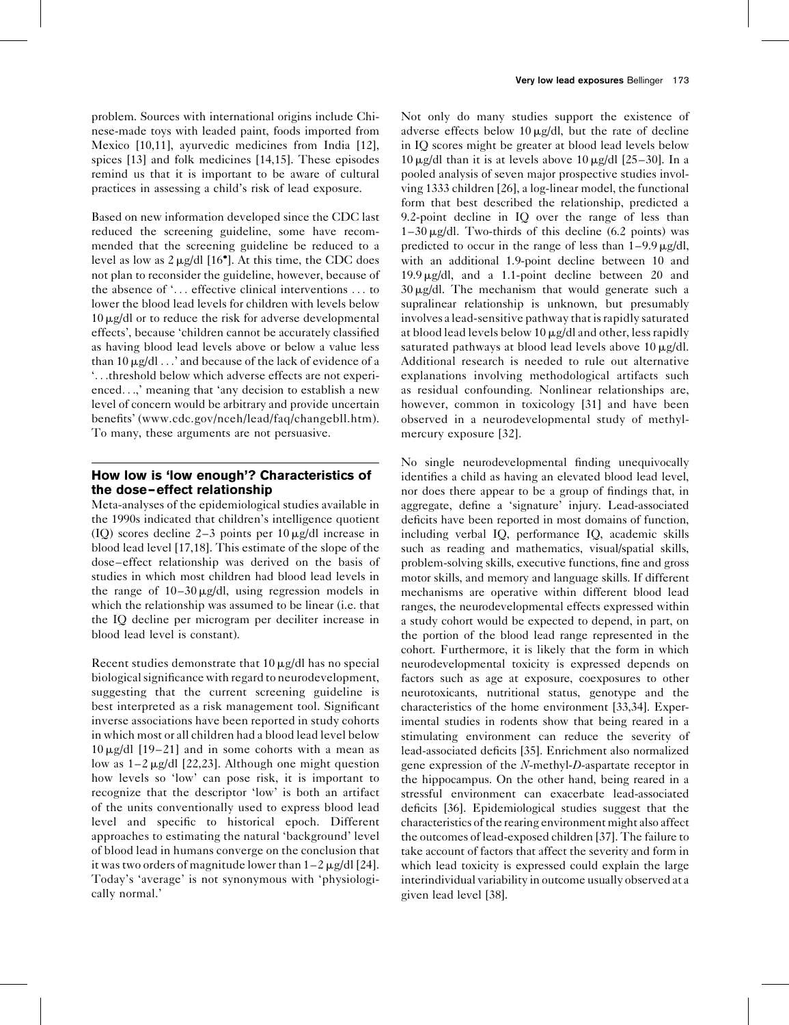problem. Sources with international origins include Chinese-made toys with leaded paint, foods imported from Mexico [\[10,11\],](#page-4-0) ayurvedic medicines from India [\[12\]](#page-4-0), spices [\[13\]](#page-4-0) and folk medicines [\[14,15\]](#page-4-0). These episodes remind us that it is important to be aware of cultural practices in assessing a child's risk of lead exposure.

Based on new information developed since the CDC last reduced the screening guideline, some have recommended that the screening guideline be reduced to a level as low as  $2 \mu g/dl$  [\[16](#page-4-0)<sup>°</sup>[\]](#page-4-0). At this time, the CDC does not plan to reconsider the guideline, however, because of the absence of '... effective clinical interventions ... to lower the blood lead levels for children with levels below  $10 \mu$ g/dl or to reduce the risk for adverse developmental effects', because 'children cannot be accurately classified as having blood lead levels above or below a value less than 10  $\mu$ g/dl  $\ldots$  and because of the lack of evidence of a '...threshold below which adverse effects are not experienced...,' meaning that 'any decision to establish a new level of concern would be arbitrary and provide uncertain benefits' ([www.cdc.gov/nceh/lead/faq/changebll.htm](http://www.cdc.gov/nceh/lead/faq/changebll.htm)). To many, these arguments are not persuasive.

### How low is 'low enough'? Characteristics of the dose–effect relationship

Meta-analyses of the epidemiological studies available in the 1990s indicated that children's intelligence quotient (IQ) scores decline 2–3 points per  $10 \mu g/dl$  increase in blood lead level [\[17,18\].](#page-4-0) This estimate of the slope of the dose–effect relationship was derived on the basis of studies in which most children had blood lead levels in the range of  $10-30 \mu g/dl$ , using regression models in which the relationship was assumed to be linear (i.e. that the IQ decline per microgram per deciliter increase in blood lead level is constant).

Recent studies demonstrate that  $10 \mu g/dl$  has no special biological significance with regard to neurodevelopment, suggesting that the current screening guideline is best interpreted as a risk management tool. Significant inverse associations have been reported in study cohorts in which most or all children had a blood lead level below  $10 \mu g/dl$  [\[19–21\]](#page-4-0) and in some cohorts with a mean as low as  $1-2 \mu g/dl$  [\[22,23\].](#page-4-0) Although one might question how levels so 'low' can pose risk, it is important to recognize that the descriptor 'low' is both an artifact of the units conventionally used to express blood lead level and specific to historical epoch. Different approaches to estimating the natural 'background' level of blood lead in humans converge on the conclusion that it was two orders of magnitude lower than  $1-2 \mu g/dl$  [\[24\]](#page-4-0). Today's 'average' is not synonymous with 'physiologically normal.'

Not only do many studies support the existence of adverse effects below  $10 \mu g/dl$ , but the rate of decline in IQ scores might be greater at blood lead levels below  $10 \mu$ g/dl than it is at levels above  $10 \mu$ g/dl [\[25–30\]](#page-4-0). In a pooled analysis of seven major prospective studies involving 1333 children [\[26\],](#page-4-0) a log-linear model, the functional form that best described the relationship, predicted a 9.2-point decline in IQ over the range of less than  $1-30 \mu g/d$ l. Two-thirds of this decline (6.2 points) was predicted to occur in the range of less than  $1-9.9 \mu$ g/dl, with an additional 1.9-point decline between 10 and  $19.9 \mu g/dl$ , and a 1.1-point decline between 20 and  $30 \mu g/d$ l. The mechanism that would generate such a supralinear relationship is unknown, but presumably involves a lead-sensitive pathway that is rapidly saturated at blood lead levels below 10  $\mu$ g/dl and other, less rapidly saturated pathways at blood lead levels above  $10 \mu g/dl$ . Additional research is needed to rule out alternative explanations involving methodological artifacts such as residual confounding. Nonlinear relationships are, however, common in toxicology [\[31\]](#page-4-0) and have been observed in a neurodevelopmental study of methylmercury exposure [\[32\]](#page-4-0).

No single neurodevelopmental finding unequivocally identifies a child as having an elevated blood lead level, nor does there appear to be a group of findings that, in aggregate, define a 'signature' injury. Lead-associated deficits have been reported in most domains of function, including verbal IQ, performance IQ, academic skills such as reading and mathematics, visual/spatial skills, problem-solving skills, executive functions, fine and gross motor skills, and memory and language skills. If different mechanisms are operative within different blood lead ranges, the neurodevelopmental effects expressed within a study cohort would be expected to depend, in part, on the portion of the blood lead range represented in the cohort. Furthermore, it is likely that the form in which neurodevelopmental toxicity is expressed depends on factors such as age at exposure, coexposures to other neurotoxicants, nutritional status, genotype and the characteristics of the home environment [\[33,34\].](#page-4-0) Experimental studies in rodents show that being reared in a stimulating environment can reduce the severity of lead-associated deficits [\[35\]](#page-4-0). Enrichment also normalized gene expression of the N-methyl-D-aspartate receptor in the hippocampus. On the other hand, being reared in a stressful environment can exacerbate lead-associated deficits [\[36\]](#page-4-0). Epidemiological studies suggest that the characteristics of the rearing environment might also affect the outcomes of lead-exposed children [\[37\]](#page-4-0). The failure to take account of factors that affect the severity and form in which lead toxicity is expressed could explain the large interindividual variability in outcome usually observed at a given lead level [\[38\]](#page-4-0).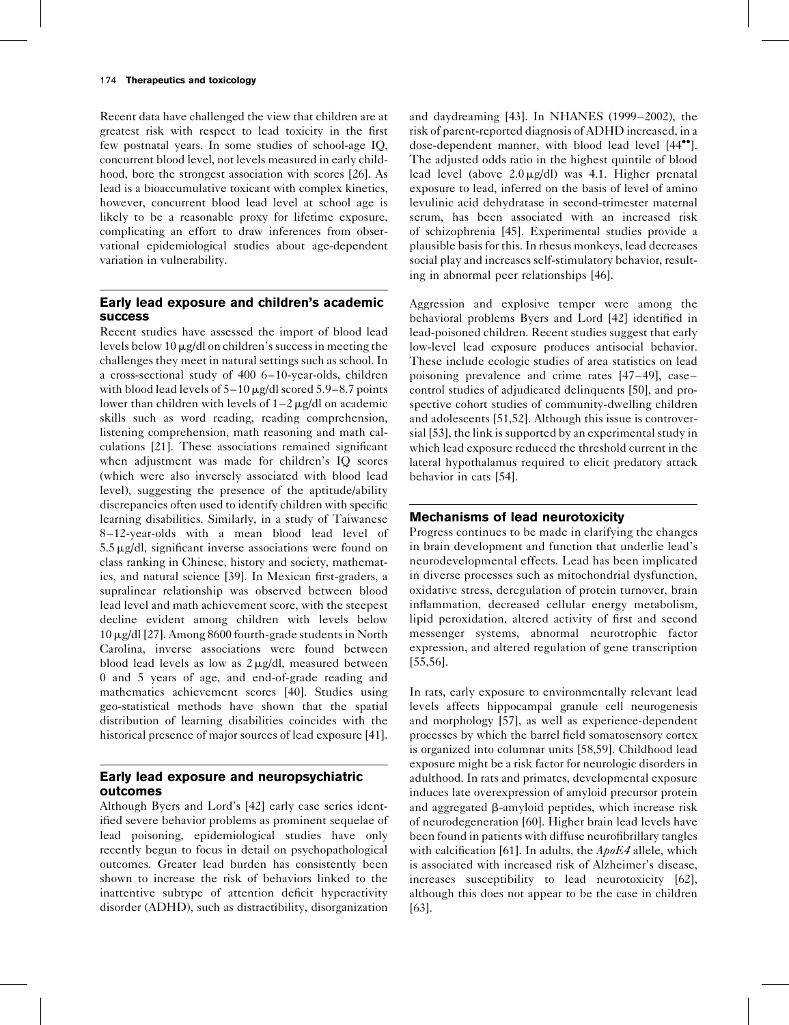Recent data have challenged the view that children are at greatest risk with respect to lead toxicity in the first few postnatal years. In some studies of school-age IQ, concurrent blood level, not levels measured in early childhood, bore the strongest association with scores [\[26\].](#page-4-0) As lead is a bioaccumulative toxicant with complex kinetics, however, concurrent blood lead level at school age is likely to be a reasonable proxy for lifetime exposure, complicating an effort to draw inferences from observational epidemiological studies about age-dependent variation in vulnerability.

### Early lead exposure and children's academic success

Recent studies have assessed the import of blood lead levels below 10  $\mu$ g/dl on children's success in meeting the challenges they meet in natural settings such as school. In a cross-sectional study of 400 6–10-year-olds, children with blood lead levels of  $5-10 \mu g/dl$  scored  $5.9-8.7$  points lower than children with levels of  $1-2 \mu g/dl$  on academic skills such as word reading, reading comprehension, listening comprehension, math reasoning and math calculations [\[21\].](#page-4-0) These associations remained significant when adjustment was made for children's IQ scores (which were also inversely associated with blood lead level), suggesting the presence of the aptitude/ability discrepancies often used to identify children with specific learning disabilities. Similarly, in a study of Taiwanese 8–12-year-olds with a mean blood lead level of  $5.5 \mu$ g/dl, significant inverse associations were found on class ranking in Chinese, history and society, mathematics, and natural science [\[39\].](#page-4-0) In Mexican first-graders, a supralinear relationship was observed between blood lead level and math achievement score, with the steepest decline evident among children with levels below  $10 \mu$ g/dl [\[27\].](#page-4-0) Among 8600 fourth-grade students in North Carolina, inverse associations were found between blood lead levels as low as  $2 \mu g/dl$ , measured between 0 and 5 years of age, and end-of-grade reading and mathematics achievement scores [\[40\]](#page-4-0). Studies using geo-statistical methods have shown that the spatial distribution of learning disabilities coincides with the historical presence of major sources of lead exposure [\[41\]](#page-4-0).

## Early lead exposure and neuropsychiatric outcomes

Although Byers and Lord's [\[42\]](#page-4-0) early case series identified severe behavior problems as prominent sequelae of lead poisoning, epidemiological studies have only recently begun to focus in detail on psychopathological outcomes. Greater lead burden has consistently been shown to increase the risk of behaviors linked to the inattentive subtype of attention deficit hyperactivity disorder (ADHD), such as distractibility, disorganization and daydreaming [\[43\].](#page-4-0) In NHANES (1999–2002), the risk of parent-reported diagnosis of ADHD increased, in a dose-dependent manner, with blood lead level [\[44](#page-4-0)<sup> $\bullet$ °</sup>[\]](#page-4-0). The adjusted odds ratio in the highest quintile of blood lead level (above  $2.0 \mu g/dl$ ) was 4.1. Higher prenatal exposure to lead, inferred on the basis of level of amino levulinic acid dehydratase in second-trimester maternal serum, has been associated with an increased risk of schizophrenia [\[45\].](#page-4-0) Experimental studies provide a plausible basis for this. In rhesus monkeys, lead decreases social play and increases self-stimulatory behavior, resulting in abnormal peer relationships [\[46\].](#page-4-0)

Aggression and explosive temper were among the behavioral problems Byers and Lord [\[42\]](#page-4-0) identified in lead-poisoned children. Recent studies suggest that early low-level lead exposure produces antisocial behavior. These include ecologic studies of area statistics on lead poisoning prevalence and crime rates [\[47–49\],](#page-4-0) case– control studies of adjudicated delinquents [\[50\]](#page-5-0), and prospective cohort studies of community-dwelling children and adolescents [\[51,52\]](#page-5-0). Although this issue is controversial [\[53\]](#page-5-0), the link is supported by an experimental study in which lead exposure reduced the threshold current in the lateral hypothalamus required to elicit predatory attack behavior in cats [\[54\].](#page-5-0)

### Mechanisms of lead neurotoxicity

Progress continues to be made in clarifying the changes in brain development and function that underlie lead's neurodevelopmental effects. Lead has been implicated in diverse processes such as mitochondrial dysfunction, oxidative stress, deregulation of protein turnover, brain inflammation, decreased cellular energy metabolism, lipid peroxidation, altered activity of first and second messenger systems, abnormal neurotrophic factor expression, and altered regulation of gene transcription [\[55,56\].](#page-5-0)

In rats, early exposure to environmentally relevant lead levels affects hippocampal granule cell neurogenesis and morphology [\[57\]](#page-5-0), as well as experience-dependent processes by which the barrel field somatosensory cortex is organized into columnar units [\[58,59\]](#page-5-0). Childhood lead exposure might be a risk factor for neurologic disorders in adulthood. In rats and primates, developmental exposure induces late overexpression of amyloid precursor protein and aggregated b-amyloid peptides, which increase risk of neurodegeneration [\[60\].](#page-5-0) Higher brain lead levels have been found in patients with diffuse neurofibrillary tangles with calcification [\[61\].](#page-5-0) In adults, the  $ApoE4$  allele, which is associated with increased risk of Alzheimer's disease, increases susceptibility to lead neurotoxicity [\[62\]](#page-5-0), although this does not appear to be the case in children [\[63\]](#page-5-0).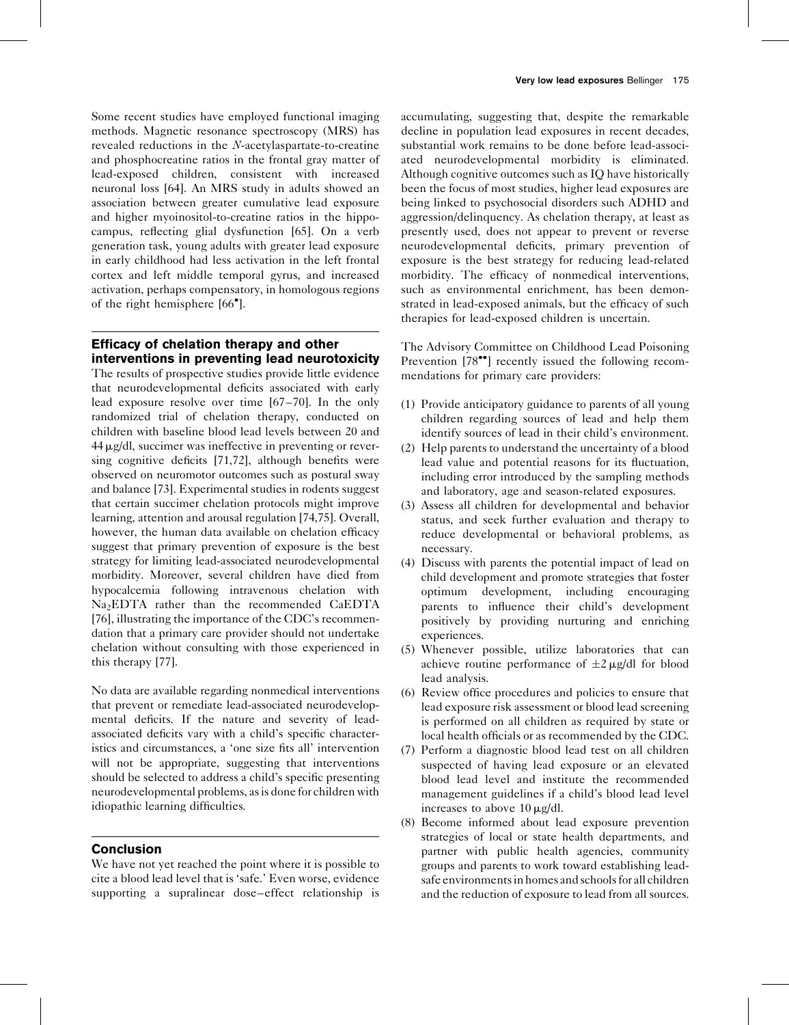Some recent studies have employed functional imaging methods. Magnetic resonance spectroscopy (MRS) has revealed reductions in the N-acetylaspartate-to-creatine and phosphocreatine ratios in the frontal gray matter of lead-exposed children, consistent with increased neuronal loss [\[64\].](#page-5-0) An MRS study in adults showed an association between greater cumulative lead exposure and higher myoinositol-to-creatine ratios in the hippocampus, reflecting glial dysfunction [\[65\]](#page-5-0). On a verb generation task, young adults with greater lead exposure in early childhood had less activation in the left frontal cortex and left middle temporal gyrus, and increased activation, perhaps compensatory, in homologous regions of the right hemisphere [\[66](#page-5-0) [\]](#page-5-0).

# Efficacy of chelation therapy and other interventions in preventing lead neurotoxicity

The results of prospective studies provide little evidence that neurodevelopmental deficits associated with early lead exposure resolve over time [\[67–70\]](#page-5-0). In the only randomized trial of chelation therapy, conducted on children with baseline blood lead levels between 20 and  $44 \mu$ g/dl, succimer was ineffective in preventing or reversing cognitive deficits [\[71,72\]](#page-5-0), although benefits were observed on neuromotor outcomes such as postural sway and balance [\[73\].](#page-5-0) Experimental studies in rodents suggest that certain succimer chelation protocols might improve learning, attention and arousal regulation [\[74,75\].](#page-5-0) Overall, however, the human data available on chelation efficacy suggest that primary prevention of exposure is the best strategy for limiting lead-associated neurodevelopmental morbidity. Moreover, several children have died from hypocalcemia following intravenous chelation with Na<sub>2</sub>EDTA rather than the recommended CaEDTA [\[76\]](#page-5-0), illustrating the importance of the CDC's recommendation that a primary care provider should not undertake chelation without consulting with those experienced in this therapy [\[77\]](#page-5-0).

No data are available regarding nonmedical interventions that prevent or remediate lead-associated neurodevelopmental deficits. If the nature and severity of leadassociated deficits vary with a child's specific characteristics and circumstances, a 'one size fits all' intervention will not be appropriate, suggesting that interventions should be selected to address a child's specific presenting neurodevelopmental problems, as is done for children with idiopathic learning difficulties.

#### **Conclusion**

We have not yet reached the point where it is possible to cite a blood lead level that is 'safe.' Even worse, evidence supporting a supralinear dose–effect relationship is

accumulating, suggesting that, despite the remarkable decline in population lead exposures in recent decades, substantial work remains to be done before lead-associated neurodevelopmental morbidity is eliminated. Although cognitive outcomes such as IQ have historically been the focus of most studies, higher lead exposures are being linked to psychosocial disorders such ADHD and aggression/delinquency. As chelation therapy, at least as presently used, does not appear to prevent or reverse neurodevelopmental deficits, primary prevention of exposure is the best strategy for reducing lead-related morbidity. The efficacy of nonmedical interventions, such as environmental enrichment, has been demonstrated in lead-exposed animals, but the efficacy of such therapies for lead-exposed children is uncertain.

The Advisory Committee on Childhood Lead Poisoning Prevention [\[78](#page-5-0)<sup> $\bullet$ </sup>[\]](#page-5-0) recently issued the following recommendations for primary care providers:

- (1) Provide anticipatory guidance to parents of all young children regarding sources of lead and help them identify sources of lead in their child's environment.
- (2) Help parents to understand the uncertainty of a blood lead value and potential reasons for its fluctuation, including error introduced by the sampling methods and laboratory, age and season-related exposures.
- (3) Assess all children for developmental and behavior status, and seek further evaluation and therapy to reduce developmental or behavioral problems, as necessary.
- (4) Discuss with parents the potential impact of lead on child development and promote strategies that foster optimum development, including encouraging parents to influence their child's development positively by providing nurturing and enriching experiences.
- (5) Whenever possible, utilize laboratories that can achieve routine performance of  $\pm 2 \mu$ g/dl for blood lead analysis.
- (6) Review office procedures and policies to ensure that lead exposure risk assessment or blood lead screening is performed on all children as required by state or local health officials or as recommended by the CDC.
- (7) Perform a diagnostic blood lead test on all children suspected of having lead exposure or an elevated blood lead level and institute the recommended management guidelines if a child's blood lead level increases to above  $10 \mu g/dl$ .
- (8) Become informed about lead exposure prevention strategies of local or state health departments, and partner with public health agencies, community groups and parents to work toward establishing leadsafe environments in homes and schools for all children and the reduction of exposure to lead from all sources.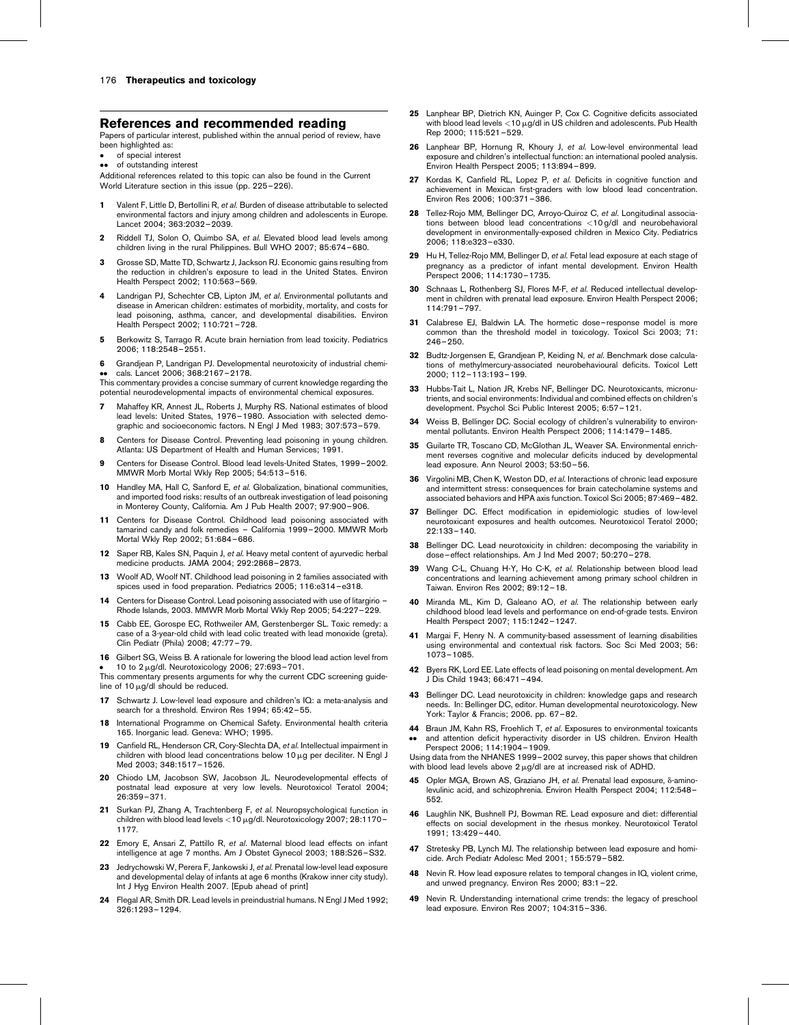#### <span id="page-4-0"></span>References and recommended reading

Papers of particular interest, published within the annual period of review, have been highlighted as:

 of special interest of outstanding interest

Additional references related to this topic can also be found in the Current World Literature section in this issue (pp. 225–226).

- 1 Valent F, Little D, Bertollini R, et al. Burden of disease attributable to selected environmental factors and injury among children and adolescents in Europe. Lancet 2004; 363:2032–2039.
- 2 Riddell TJ, Solon O, Quimbo SA, et al. Elevated blood lead levels among children living in the rural Philippines. Bull WHO 2007; 85:674–680.
- Grosse SD, Matte TD, Schwartz J, Jackson RJ. Economic gains resulting from the reduction in children's exposure to lead in the United States. Environ Health Perspect 2002; 110:563–569.
- Landrigan PJ, Schechter CB, Lipton JM, et al. Environmental pollutants and disease in American children: estimates of morbidity, mortality, and costs for lead poisoning, asthma, cancer, and developmental disabilities. Environ Health Perspect 2002; 110:721–728.
- 5 Berkowitz S, Tarrago R. Acute brain herniation from lead toxicity. Pediatrics 2006; 118:2548–2551.
- 6 Grandjean P, Landrigan PJ. Developmental neurotoxicity of industrial chemicals. Lancet 2006; 368:2167–2178.

●● cals. Lancet 2006; 368:2167–2178.<br>This commentary provides a concise summary of current knowledge regarding the potential neurodevelopmental impacts of environmental chemical exposures.

- 7 Mahaffey KR, Annest JL, Roberts J, Murphy RS. National estimates of blood lead levels: United States, 1976–1980. Association with selected demographic and socioeconomic factors. N Engl J Med 1983; 307:573–579.
- Centers for Disease Control. Preventing lead poisoning in young children. Atlanta: US Department of Health and Human Services; 1991.
- 9 Centers for Disease Control. Blood lead levels-United States, 1999–2002. MMWR Morb Mortal Wkly Rep 2005; 54:513–516.
- 10 Handley MA, Hall C, Sanford E, et al. Globalization, binational communities, and imported food risks: results of an outbreak investigation of lead poisoning in Monterey County, California. Am J Pub Health 2007; 97:900–906.
- 11 Centers for Disease Control. Childhood lead poisoning associated with tamarind candy and folk remedies – California 1999–2000. MMWR Morb Mortal Wkly Rep 2002; 51:684–686.
- 12 Saper RB, Kales SN, Paquin J, et al. Heavy metal content of ayurvedic herbal medicine products. JAMA 2004; 292:2868–2873.
- 13 Woolf AD, Woolf NT. Childhood lead poisoning in 2 families associated with spices used in food preparation. Pediatrics 2005; 116:e314–e318.
- Centers for Disease Control. Lead poisoning associated with use of litargirio -Rhode Islands, 2003. MMWR Morb Mortal Wkly Rep 2005; 54:227–229.
- 15 Cabb EE, Gorospe EC, Rothweiler AM, Gerstenberger SL. Toxic remedy: a case of a 3-year-old child with lead colic treated with lead monoxide (greta). Clin Pediatr (Phila) 2008; 47:77–79.
- 16 Gilbert SG, Weiss B. A rationale for lowering the blood lead action level from 10 to  $2 \mu g/d$ . Neurotoxicology 2006; 27:693-701.

● 10 to 2 µg/dl. Neurotoxicology 2006; 27:693−701.<br>This commentary presents arguments for why the current CDC screening guideline of 10  $\mu$ g/dl should be reduced.

- Schwartz J. Low-level lead exposure and children's IQ: a meta-analysis and search for a threshold. Environ Res 1994; 65:42–55.
- 18 International Programme on Chemical Safety. Environmental health criteria 165. Inorganic lead. Geneva: WHO; 1995.
- 19 Canfield RL, Henderson CR, Corv-Slechta DA, et al. Intellectual impairment in children with blood lead concentrations below  $10 \mu$ g per deciliter. N Engl J Med 2003; 348:1517–1526.
- 20 Chiodo LM, Jacobson SW, Jacobson JL, Neurodevelopmental effects of postnatal lead exposure at very low levels. Neurotoxicol Teratol 2004; 26:359–371.
- 21 Surkan PJ, Zhang A, Trachtenberg F, et al. Neuropsychological function in children with blood lead levels <10 µg/dl. Neurotoxicology 2007; 28:1170-1177.
- 22 Emory E, Ansari Z, Pattillo R, et al. Maternal blood lead effects on infant intelligence at age 7 months. Am J Obstet Gynecol 2003; 188:S26–S32.
- 23 Jedrychowski W, Perera F, Jankowski J, et al. Prenatal low-level lead exposure and developmental delay of infants at age 6 months (Krakow inner city study). Int J Hyg Environ Health 2007. [Epub ahead of print]
- 24 Flegal AR, Smith DR. Lead levels in preindustrial humans. N Engl J Med 1992; 326:1293–1294.
- 25 Lanphear BP, Dietrich KN, Auinger P, Cox C. Cognitive deficits associated with blood lead levels  $<$  10  $\mu$ g/dl in US children and adolescents. Pub Health Rep 2000; 115:521–529.
- 26 Lanphear BP, Hornung R, Khoury J, et al. Low-level environmental lead exposure and children's intellectual function: an international pooled analysis. Environ Health Perspect 2005; 113:894–899.
- 27 Kordas K, Canfield RL, Lopez P, et al. Deficits in cognitive function and achievement in Mexican first-graders with low blood lead concentration. Environ Res 2006; 100:371–386.
- 28 Tellez-Rojo MM, Bellinger DC, Arroyo-Quiroz C, et al. Longitudinal associations between blood lead concentrations <10 g/dl and neurobehavioral development in environmentally-exposed children in Mexico City. Pediatrics 2006; 118:e323–e330.
- 29 Hu H, Tellez-Rojo MM, Bellinger D, et al. Fetal lead exposure at each stage of pregnancy as a predictor of infant mental development. Environ Health Perspect 2006; 114:1730–1735.
- 30 Schnaas L, Rothenberg SJ, Flores M-F, et al. Reduced intellectual development in children with prenatal lead exposure. Environ Health Perspect 2006; 114:791–797.
- 31 Calabrese EJ, Baldwin LA. The hormetic dose-response model is more common than the threshold model in toxicology. Toxicol Sci 2003; 71: 246–250.
- 32 Budtz-Jorgensen E, Grandjean P, Keiding N, et al. Benchmark dose calculations of methylmercury-associated neurobehavioural deficits. Toxicol Lett 2000; 112–113:193–199.
- 33 Hubbs-Tait L, Nation JR, Krebs NF, Bellinger DC. Neurotoxicants, micronutrients, and social environments: Individual and combined effects on children's development. Psychol Sci Public Interest 2005; 6:57–121.
- 34 Weiss B, Bellinger DC. Social ecology of children's vulnerability to environmental pollutants. Environ Health Perspect 2006; 114:1479–1485.
- 35 Guilarte TR. Toscano CD, McGlothan JL, Weaver SA. Environmental enrichment reverses cognitive and molecular deficits induced by developmental lead exposure. Ann Neurol 2003; 53:50–56.
- 36 Virgolini MB, Chen K, Weston DD, et al. Interactions of chronic lead exposure and intermittent stress: consequences for brain catecholamine systems and associated behaviors and HPA axis function. Toxicol Sci 2005; 87:469–482.
- 37 Bellinger DC. Effect modification in epidemiologic studies of low-level neurotoxicant exposures and health outcomes. Neurotoxicol Teratol 2000; 22:133–140.
- 38 Bellinger DC. Lead neurotoxicity in children: decomposing the variability in dose–effect relationships. Am J Ind Med 2007; 50:270–278.
- 39 Wang C-L, Chuang H-Y, Ho C-K, et al. Relationship between blood lead concentrations and learning achievement among primary school children in Taiwan. Environ Res 2002; 89:12–18.
- 40 Miranda ML, Kim D, Galeano AO, et al. The relationship between early childhood blood lead levels and performance on end-of-grade tests. Environ Health Perspect 2007; 115:1242–1247.
- 41 Margai F, Henry N. A community-based assessment of learning disabilities using environmental and contextual risk factors. Soc Sci Med 2003; 56: 1073–1085.
- 42 Byers RK, Lord EE. Late effects of lead poisoning on mental development. Am J Dis Child 1943; 66:471–494.
- 43 Bellinger DC. Lead neurotoxicity in children: knowledge gaps and research needs. In: Bellinger DC, editor. Human developmental neurotoxicology. New York: Taylor & Francis; 2006. pp. 67–82.
- 44 Braun JM, Kahn RS, Froehlich T, et al. Exposures to environmental toxicants .. and attention deficit hyperactivity disorder in US children. Environ Health Perspect 2006; 114:1904–1909.

Using data from the NHANES 1999–2002 survey, this paper shows that children with blood lead levels above  $2 \mu g/d$ l are at increased risk of ADHD.

- 45 Opler MGA, Brown AS, Graziano JH, et al. Prenatal lead exposure, δ-aminolevulinic acid, and schizophrenia. Environ Health Perspect 2004; 112:548– 552.
- 46 Laughlin NK, Bushnell PJ, Bowman RE. Lead exposure and diet: differential effects on social development in the rhesus monkey. Neurotoxicol Teratol 1991; 13:429–440.
- 47 Stretesky PB, Lynch MJ. The relationship between lead exposure and homicide. Arch Pediatr Adolesc Med 2001; 155:579–582.
- 48 Nevin R. How lead exposure relates to temporal changes in IQ, violent crime, and unwed pregnancy. Environ Res 2000; 83:1–22.
- 49 Nevin R. Understanding international crime trends: the legacy of preschool lead exposure. Environ Res 2007; 104:315–336.